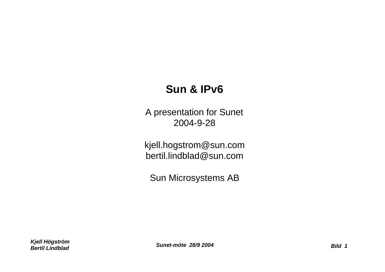# **Sun & IPv6**

A presentation for Sunet 2004-9-28

kjell.hogstrom@sun.com bertil.lindblad@sun.com

Sun Microsystems AB

*Kjell Högström Bertil Lindblad Sunet-möte 28/9 2004 Bild 1*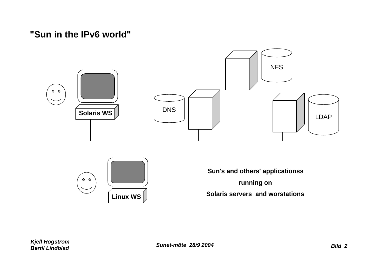# **"Sun in the IPv6 world"**

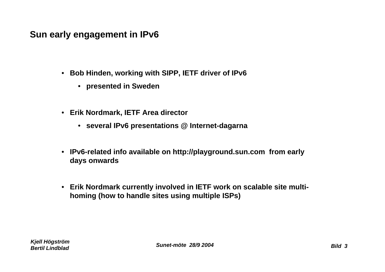# **Sun early engagement in IPv6**

- **Bob Hinden, working with SIPP, IETF driver of IPv6**
	- **presented in Sweden**
- **Erik Nordmark, IETF Area director**
	- **several IPv6 presentations @ Internet-dagarna**
- **IPv6-related info available on http://playground.sun.com from early days onwards**
- **Erik Nordmark currently involved in IETF work on scalable site multihoming (how to handle sites using multiple ISPs)**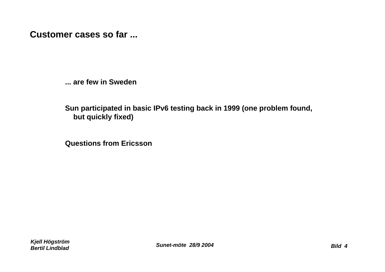**Customer cases so far ...**

**... are few in Sweden**

**Sun participated in basic IPv6 testing back in 1999 (one problem found, but quickly fixed)**

**Questions from Ericsson**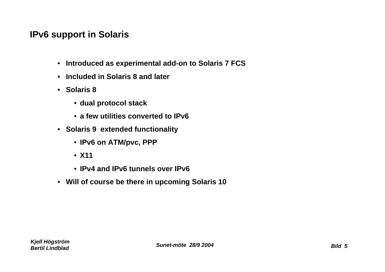# **IPv6 support in Solaris**

- **Introduced as experimental add-on to Solaris 7 FCS**
- **Included in Solaris 8 and later**
- **Solaris 8**
	- **dual protocol stack**
	- **a few utilities converted to IPv6**
- **Solaris 9 extended functionality**
	- **IPv6 on ATM/pvc, PPP**
	- **X11**
	- **IPv4 and IPv6 tunnels over IPv6**
- **Will of course be there in upcoming Solaris 10**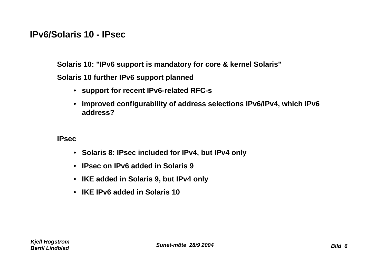#### **IPv6/Solaris 10 - IPsec**

**Solaris 10: "IPv6 support is mandatory for core & kernel Solaris" Solaris 10 further IPv6 support planned**

- **support for recent IPv6-related RFC-s**
- **improved configurability of address selections IPv6/IPv4, which IPv6 address?**

**IPsec**

- **Solaris 8: IPsec included for IPv4, but IPv4 only**
- **IPsec on IPv6 added in Solaris 9**
- **IKE added in Solaris 9, but IPv4 only**
- **IKE IPv6 added in Solaris 10**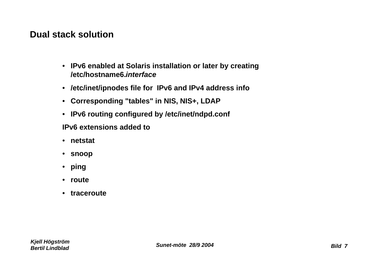#### **Dual stack solution**

- **IPv6 enabled at Solaris installation or later by creating /etc/hostname6.***interface*
- **/etc/inet/ipnodes file for IPv6 and IPv4 address info**
- **Corresponding "tables" in NIS, NIS+, LDAP**
- **IPv6 routing configured by /etc/inet/ndpd.conf**

**IPv6 extensions added to**

- **netstat**
- **snoop**
- **ping**
- **route**
- **traceroute**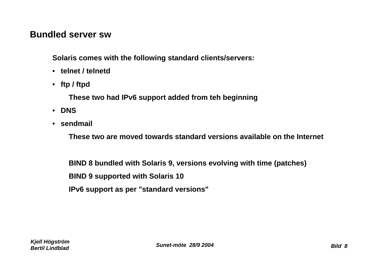#### **Bundled server sw**

**Solaris comes with the following standard clients/servers:**

- **telnet / telnetd**
- **ftp / ftpd**

**These two had IPv6 support added from teh beginning**

- **DNS**
- **sendmail**

**These two are moved towards standard versions available on the Internet**

**BIND 8 bundled with Solaris 9, versions evolving with time (patches)**

**BIND 9 supported with Solaris 10**

**IPv6 support as per "standard versions"**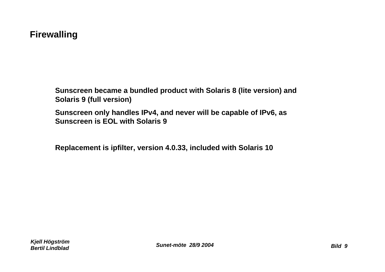## **Firewalling**

**Sunscreen became a bundled product with Solaris 8 (lite version) and Solaris 9 (full version)**

**Sunscreen only handles IPv4, and never will be capable of IPv6, as Sunscreen is EOL with Solaris 9**

**Replacement is ipfilter, version 4.0.33, included with Solaris 10**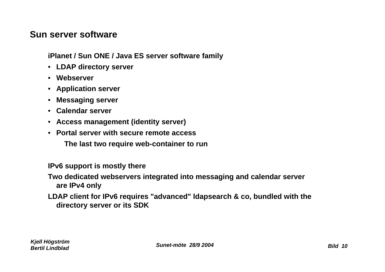#### **Sun server software**

**iPlanet / Sun ONE / Java ES server software family**

- **LDAP directory server**
- **Webserver**
- **Application server**
- **Messaging server**
- **Calendar server**
- **Access management (identity server)**
- **Portal server with secure remote access**

**The last two require web-container to run**

**IPv6 support is mostly there**

**Two dedicated webservers integrated into messaging and calendar server are IPv4 only**

**LDAP client for IPv6 requires "advanced" ldapsearch & co, bundled with the directory server or its SDK**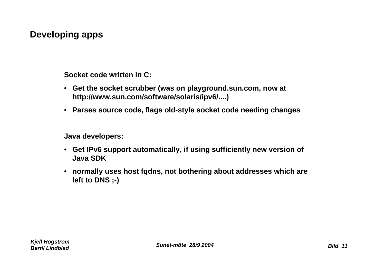# **Developing apps**

**Socket code written in C:**

- **Get the socket scrubber (was on playground.sun.com, now at http://www.sun.com/software/solaris/ipv6/....)**
- **Parses source code, flags old-style socket code needing changes**

**Java developers:**

- **Get IPv6 support automatically, if using sufficiently new version of Java SDK**
- **normally uses host fqdns, not bothering about addresses which are left to DNS ;-)**